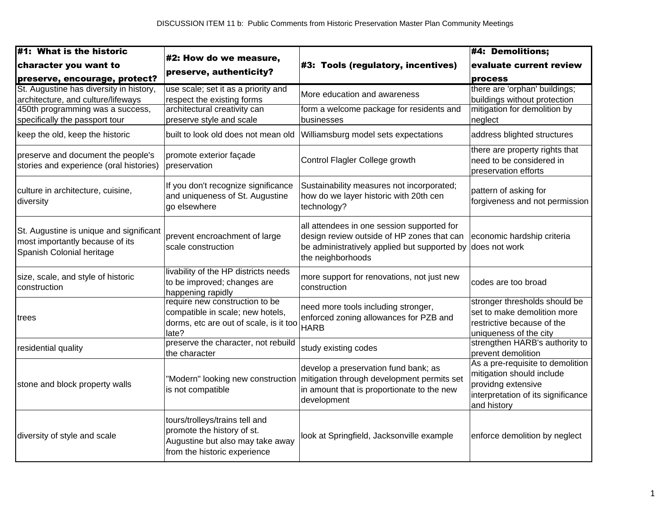| $\sharp$ 1: What is the historic                                                                        |                                                                                                                                  |                                                                                                                                                               | #4: Demolitions;                                                                                                                         |
|---------------------------------------------------------------------------------------------------------|----------------------------------------------------------------------------------------------------------------------------------|---------------------------------------------------------------------------------------------------------------------------------------------------------------|------------------------------------------------------------------------------------------------------------------------------------------|
| character you want to                                                                                   | #2: How do we measure,                                                                                                           | #3: Tools (regulatory, incentives)                                                                                                                            | evaluate current review                                                                                                                  |
| preserve, encourage, protect?                                                                           | preserve, authenticity?                                                                                                          |                                                                                                                                                               | process                                                                                                                                  |
| St. Augustine has diversity in history,<br>architecture, and culture/lifeways                           | use scale; set it as a priority and<br>respect the existing forms                                                                | More education and awareness                                                                                                                                  | there are 'orphan' buildings;<br>buildings without protection                                                                            |
| 450th programming was a success,<br>specifically the passport tour                                      | architectural creativity can<br>preserve style and scale                                                                         | form a welcome package for residents and<br>businesses                                                                                                        | mitigation for demolition by<br>neglect                                                                                                  |
| keep the old, keep the historic                                                                         | built to look old does not mean old                                                                                              | Williamsburg model sets expectations                                                                                                                          | address blighted structures                                                                                                              |
| preserve and document the people's<br>stories and experience (oral histories)                           | promote exterior façade<br>preservation                                                                                          | Control Flagler College growth                                                                                                                                | there are property rights that<br>need to be considered in<br>preservation efforts                                                       |
| culture in architecture, cuisine,<br>diversity                                                          | If you don't recognize significance<br>and uniqueness of St. Augustine<br>go elsewhere                                           | Sustainability measures not incorporated;<br>how do we layer historic with 20th cen<br>technology?                                                            | pattern of asking for<br>forgiveness and not permission                                                                                  |
| St. Augustine is unique and significant<br>most importantly because of its<br>Spanish Colonial heritage | prevent encroachment of large<br>scale construction                                                                              | all attendees in one session supported for<br>design review outside of HP zones that can<br>be administratively applied but supported by<br>the neighborhoods | economic hardship criteria<br>does not work                                                                                              |
| size, scale, and style of historic<br>construction                                                      | livability of the HP districts needs<br>to be improved; changes are<br>happening rapidly                                         | more support for renovations, not just new<br>construction                                                                                                    | codes are too broad                                                                                                                      |
| trees                                                                                                   | require new construction to be<br>compatible in scale; new hotels,<br>dorms, etc are out of scale, is it too<br>late?            | need more tools including stronger,<br>enforced zoning allowances for PZB and<br><b>HARB</b>                                                                  | stronger thresholds should be<br>set to make demolition more<br>restrictive because of the<br>uniqueness of the city                     |
| residential quality                                                                                     | preserve the character, not rebuild<br>the character                                                                             | study existing codes                                                                                                                                          | strengthen HARB's authority to<br>prevent demolition                                                                                     |
| stone and block property walls                                                                          | "Modern" looking new construction<br>is not compatible                                                                           | develop a preservation fund bank; as<br>mitigation through development permits set<br>in amount that is proportionate to the new<br>development               | As a pre-requisite to demolition<br>mitigation should include<br>providng extensive<br>interpretation of its significance<br>and history |
| diversity of style and scale                                                                            | tours/trolleys/trains tell and<br>promote the history of st.<br>Augustine but also may take away<br>from the historic experience | look at Springfield, Jacksonville example                                                                                                                     | enforce demolition by neglect                                                                                                            |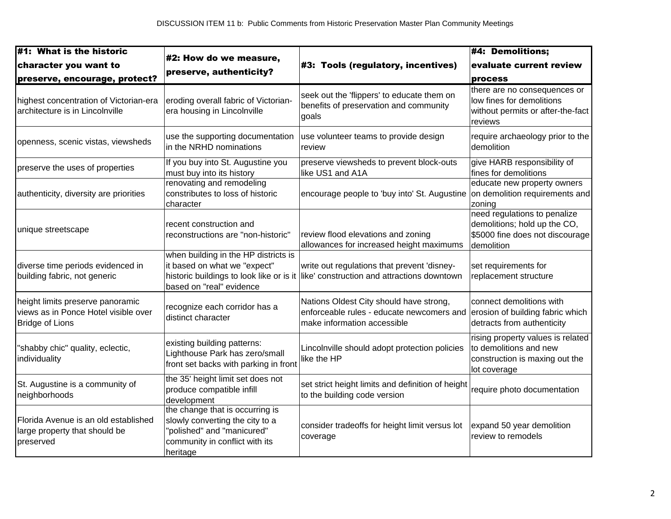| #1: What is the historic                                                                           |                                                                                                                                                |                                                                                                                                     | $#4$ : Demolitions;                                                                                           |
|----------------------------------------------------------------------------------------------------|------------------------------------------------------------------------------------------------------------------------------------------------|-------------------------------------------------------------------------------------------------------------------------------------|---------------------------------------------------------------------------------------------------------------|
| character you want to                                                                              | #2: How do we measure,                                                                                                                         | #3: Tools (regulatory, incentives)                                                                                                  | evaluate current review                                                                                       |
| preserve, encourage, protect?                                                                      | preserve, authenticity?                                                                                                                        |                                                                                                                                     | process                                                                                                       |
| highest concentration of Victorian-era<br>architecture is in Lincolnville                          | eroding overall fabric of Victorian-<br>era housing in Lincolnville                                                                            | seek out the 'flippers' to educate them on<br>benefits of preservation and community<br>goals                                       | there are no consequences or<br>low fines for demolitions<br>without permits or after-the-fact<br>reviews     |
| openness, scenic vistas, viewsheds                                                                 | use the supporting documentation<br>in the NRHD nominations                                                                                    | use volunteer teams to provide design<br>review                                                                                     | require archaeology prior to the<br>demolition                                                                |
| preserve the uses of properties                                                                    | If you buy into St. Augustine you<br>must buy into its history                                                                                 | preserve viewsheds to prevent block-outs<br>like US1 and A1A                                                                        | give HARB responsibility of<br>fines for demolitions                                                          |
| authenticity, diversity are priorities                                                             | renovating and remodeling<br>constributes to loss of historic<br>character                                                                     | encourage people to 'buy into' St. Augustine                                                                                        | educate new property owners<br>on demolition requirements and<br>zoning                                       |
| unique streetscape                                                                                 | recent construction and<br>reconstructions are "non-historic"                                                                                  | review flood elevations and zoning<br>allowances for increased height maximums                                                      | need regulations to penalize<br>demolitions; hold up the CO,<br>\$5000 fine does not discourage<br>demolition |
| diverse time periods evidenced in<br>building fabric, not generic                                  | when building in the HP districts is<br>it based on what we "expect"<br>based on "real" evidence                                               | write out regulations that prevent 'disney-<br>historic buildings to look like or is it like' construction and attractions downtown | set requirements for<br>replacement structure                                                                 |
| height limits preserve panoramic<br>views as in Ponce Hotel visible over<br><b>Bridge of Lions</b> | recognize each corridor has a<br>distinct character                                                                                            | Nations Oldest City should have strong,<br>enforceable rules - educate newcomers and<br>make information accessible                 | connect demolitions with<br>erosion of building fabric which<br>detracts from authenticity                    |
| "shabby chic" quality, eclectic,<br>individuality                                                  | existing building patterns:<br>Lighthouse Park has zero/small<br>front set backs with parking in front                                         | Lincolnville should adopt protection policies<br>like the HP                                                                        | rising property values is related<br>to demolitions and new<br>construction is maxing out the<br>lot coverage |
| St. Augustine is a community of<br>neighborhoods                                                   | the 35' height limit set does not<br>produce compatible infill<br>development                                                                  | set strict height limits and definition of height<br>to the building code version                                                   | require photo documentation                                                                                   |
| Florida Avenue is an old established<br>large property that should be<br>preserved                 | the change that is occurring is<br>slowly converting the city to a<br>'polished" and "manicured"<br>community in conflict with its<br>heritage | consider tradeoffs for height limit versus lot<br>coverage                                                                          | expand 50 year demolition<br>review to remodels                                                               |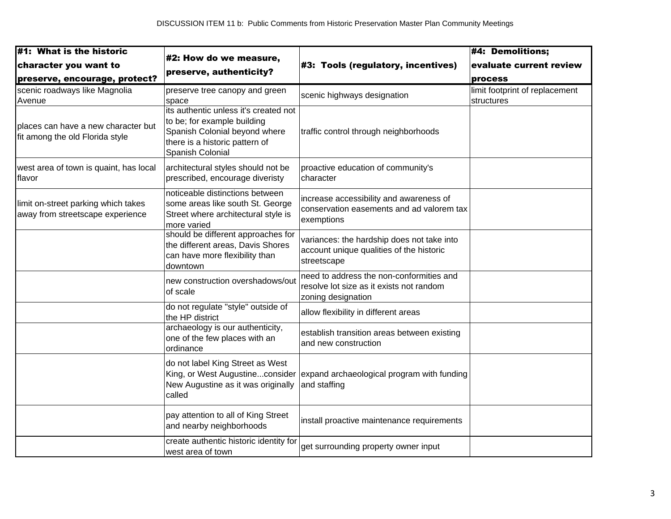| #1: What is the historic                                                                      |                                                                                                                                                             |                                                                                                            | $#4$ : Demolitions;                          |
|-----------------------------------------------------------------------------------------------|-------------------------------------------------------------------------------------------------------------------------------------------------------------|------------------------------------------------------------------------------------------------------------|----------------------------------------------|
| character you want to                                                                         | #2: How do we measure,                                                                                                                                      | #3: Tools (regulatory, incentives)                                                                         | evaluate current review                      |
| preserve, encourage, protect?                                                                 | preserve, authenticity?                                                                                                                                     |                                                                                                            | process                                      |
| scenic roadways like Magnolia<br>Avenue                                                       | preserve tree canopy and green<br>space                                                                                                                     | scenic highways designation                                                                                | limit footprint of replacement<br>structures |
| places can have a new character but<br>fit among the old Florida style                        | its authentic unless it's created not<br>to be; for example building<br>Spanish Colonial beyond where<br>there is a historic pattern of<br>Spanish Colonial | traffic control through neighborhoods                                                                      |                                              |
| west area of town is quaint, has local<br>lflavor                                             | architectural styles should not be<br>prescribed, encourage diveristy                                                                                       | proactive education of community's<br>character                                                            |                                              |
| limit on-street parking which takes<br>away from streetscape experience<br>of scale<br>called | noticeable distinctions between<br>some areas like south St. George<br>Street where architectural style is<br>more varied                                   | increase accessibility and awareness of<br>conservation easements and ad valorem tax<br>exemptions         |                                              |
|                                                                                               | should be different approaches for<br>the different areas, Davis Shores<br>can have more flexibility than<br>downtown                                       | variances: the hardship does not take into<br>account unique qualities of the historic<br>streetscape      |                                              |
|                                                                                               | new construction overshadows/out                                                                                                                            | need to address the non-conformities and<br>resolve lot size as it exists not random<br>zoning designation |                                              |
|                                                                                               | do not regulate "style" outside of<br>the HP district                                                                                                       | allow flexibility in different areas                                                                       |                                              |
|                                                                                               | archaeology is our authenticity,<br>one of the few places with an<br>ordinance                                                                              | establish transition areas between existing<br>and new construction                                        |                                              |
|                                                                                               | do not label King Street as West<br>New Augustine as it was originally                                                                                      | King, or West Augustineconsider expand archaeological program with funding<br>and staffing                 |                                              |
|                                                                                               | pay attention to all of King Street<br>and nearby neighborhoods                                                                                             | install proactive maintenance requirements                                                                 |                                              |
|                                                                                               | create authentic historic identity for<br>west area of town                                                                                                 | get surrounding property owner input                                                                       |                                              |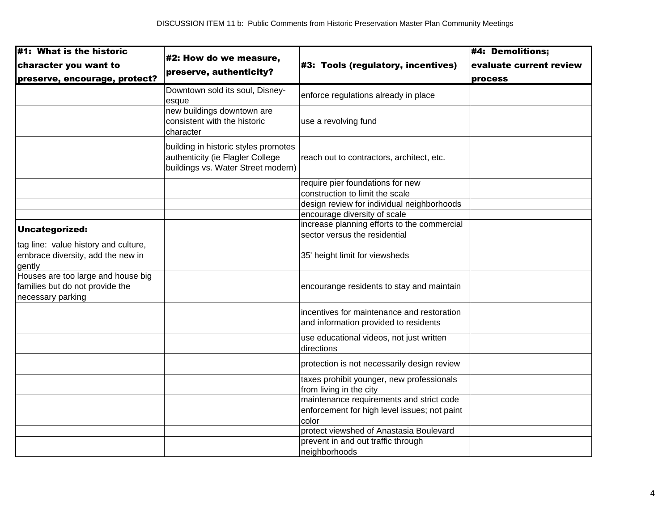| #1: What is the historic<br>character you want to<br>preserve, encourage, protect? | #2: How do we measure,<br>preserve, authenticity? | #3: Tools (regulatory, incentives)           | $#4$ : Demolitions;     |
|------------------------------------------------------------------------------------|---------------------------------------------------|----------------------------------------------|-------------------------|
|                                                                                    |                                                   |                                              | evaluate current review |
|                                                                                    |                                                   |                                              | process                 |
|                                                                                    | Downtown sold its soul, Disney-                   |                                              |                         |
|                                                                                    | esque                                             | enforce regulations already in place         |                         |
|                                                                                    | new buildings downtown are                        |                                              |                         |
|                                                                                    | consistent with the historic                      | use a revolving fund                         |                         |
|                                                                                    | character                                         |                                              |                         |
|                                                                                    | building in historic styles promotes              |                                              |                         |
|                                                                                    | authenticity (ie Flagler College                  | reach out to contractors, architect, etc.    |                         |
|                                                                                    | buildings vs. Water Street modern)                |                                              |                         |
|                                                                                    |                                                   | require pier foundations for new             |                         |
|                                                                                    |                                                   | construction to limit the scale              |                         |
|                                                                                    |                                                   | design review for individual neighborhoods   |                         |
|                                                                                    |                                                   | encourage diversity of scale                 |                         |
| Uncategorized:                                                                     |                                                   | increase planning efforts to the commercial  |                         |
|                                                                                    |                                                   | sector versus the residential                |                         |
| tag line: value history and culture,                                               |                                                   |                                              |                         |
| embrace diversity, add the new in<br>gently                                        |                                                   | 35' height limit for viewsheds               |                         |
| Houses are too large and house big                                                 |                                                   |                                              |                         |
| families but do not provide the                                                    |                                                   | encourange residents to stay and maintain    |                         |
| necessary parking                                                                  |                                                   |                                              |                         |
|                                                                                    |                                                   | incentives for maintenance and restoration   |                         |
|                                                                                    |                                                   | and information provided to residents        |                         |
|                                                                                    |                                                   | use educational videos, not just written     |                         |
|                                                                                    |                                                   | directions                                   |                         |
|                                                                                    |                                                   | protection is not necessarily design review  |                         |
|                                                                                    |                                                   | taxes prohibit younger, new professionals    |                         |
|                                                                                    |                                                   | from living in the city                      |                         |
|                                                                                    |                                                   | maintenance requirements and strict code     |                         |
|                                                                                    |                                                   | enforcement for high level issues; not paint |                         |
|                                                                                    |                                                   | color                                        |                         |
|                                                                                    |                                                   | protect viewshed of Anastasia Boulevard      |                         |
|                                                                                    |                                                   | prevent in and out traffic through           |                         |
|                                                                                    |                                                   | neighborhoods                                |                         |